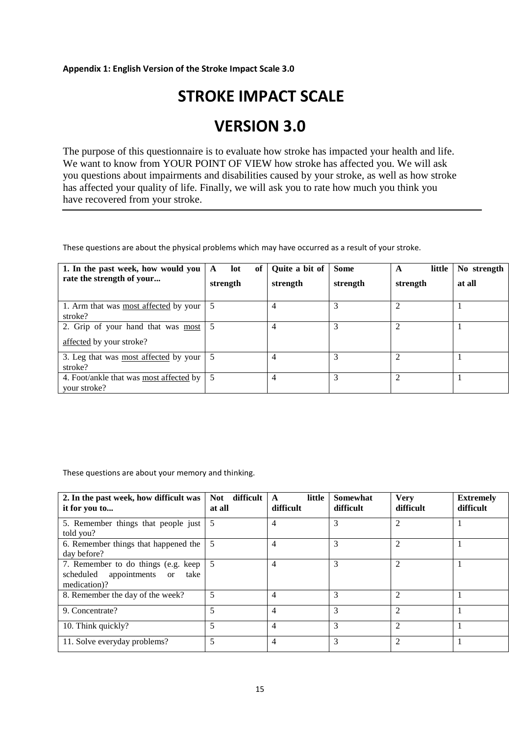# **STROKE IMPACT SCALE**

# **VERSION 3.0**

The purpose of this questionnaire is to evaluate how stroke has impacted your health and life. We want to know from YOUR POINT OF VIEW how stroke has affected you. We will ask you questions about impairments and disabilities caused by your stroke, as well as how stroke has affected your quality of life. Finally, we will ask you to rate how much you think you have recovered from your stroke.

| 1. In the past week, how would you           | of<br>lot<br>A | Quite a bit of | <b>Some</b> | little<br>A | No strength |
|----------------------------------------------|----------------|----------------|-------------|-------------|-------------|
| rate the strength of your                    | strength       | strength       | strength    | strength    | at all      |
|                                              |                |                |             |             |             |
| 1. Arm that was most affected by your        | 5              | 4              |             | 2           |             |
| stroke?                                      |                |                |             |             |             |
| 2. Grip of your hand that was most           | -5             | 4              | 3           | 2           |             |
| affected by your stroke?                     |                |                |             |             |             |
| 3. Leg that was <u>most affected</u> by your | -5             | 4              |             | 2           |             |
| stroke?                                      |                |                |             |             |             |
| 4. Foot/ankle that was most affected by      | 5              | 4              | 3           | 2           |             |
| your stroke?                                 |                |                |             |             |             |

These questions are about the physical problems which may have occurred as a result of your stroke.

These questions are about your memory and thinking.

| 2. In the past week, how difficult was<br>it for you to                                                   | difficult<br><b>Not</b><br>at all | little<br>A<br>difficult | <b>Somewhat</b><br>difficult | <b>Very</b><br>difficult | <b>Extremely</b><br>difficult |
|-----------------------------------------------------------------------------------------------------------|-----------------------------------|--------------------------|------------------------------|--------------------------|-------------------------------|
| 5. Remember things that people just<br>told you?                                                          | 5                                 | 4                        | 3                            | 2                        |                               |
| 6. Remember things that happened the<br>day before?                                                       | 5                                 | 4                        | 3                            | $\overline{c}$           |                               |
| 7. Remember to do things (e.g. keep<br>appointments<br>scheduled<br>take<br><sub>or</sub><br>medication)? | 5                                 | 4                        | 3                            | $\overline{c}$           |                               |
| 8. Remember the day of the week?                                                                          | 5                                 | 4                        | 3                            | $\overline{c}$           |                               |
| 9. Concentrate?                                                                                           | 5                                 | 4                        | 3                            | $\mathfrak{D}$           |                               |
| 10. Think quickly?                                                                                        | 5                                 | 4                        | 3                            | $\overline{c}$           |                               |
| 11. Solve everyday problems?                                                                              | 5                                 | 4                        | 3                            | $\overline{c}$           |                               |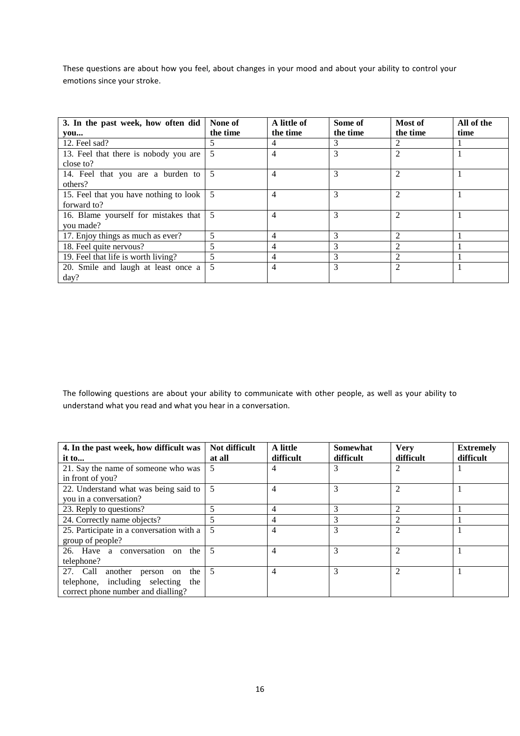These questions are about how you feel, about changes in your mood and about your ability to control your emotions since your stroke.

| 3. In the past week, how often did     | None of  | A little of | Some of  | Most of        | All of the |
|----------------------------------------|----------|-------------|----------|----------------|------------|
| you                                    | the time | the time    | the time | the time       | time       |
| 12. Feel sad?                          | 5        | 4           | 3        | 2              |            |
| 13. Feel that there is nobody you are  | 5        | 4           | 3        | $\overline{2}$ |            |
| close to?                              |          |             |          |                |            |
| 14. Feel that you are a burden to      | 5        | 4           | 3        | 2              |            |
| others?                                |          |             |          |                |            |
| 15. Feel that you have nothing to look | -5       | 4           | 3        | $\mathfrak{D}$ |            |
| forward to?                            |          |             |          |                |            |
| 16. Blame yourself for mistakes that   | 5        | 4           | 3        | 2              |            |
| you made?                              |          |             |          |                |            |
| 17. Enjoy things as much as ever?      | 5        | 4           | 3        | $\overline{2}$ |            |
| 18. Feel quite nervous?                | 5        | 4           | 3        | $\overline{2}$ |            |
| 19. Feel that life is worth living?    | 5        | 4           | 3        | 2              |            |
| 20. Smile and laugh at least once a    | 5        | 4           | 3        | $\overline{2}$ |            |
| day?                                   |          |             |          |                |            |

The following questions are about your ability to communicate with other people, as well as your ability to understand what you read and what you hear in a conversation.

| 4. In the past week, how difficult was     | Not difficult | A little       | Somewhat  | <b>Very</b>    | <b>Extremely</b> |
|--------------------------------------------|---------------|----------------|-----------|----------------|------------------|
| it to                                      | at all        | difficult      | difficult | difficult      | difficult        |
| 21. Say the name of someone who was        | 5             | 4              | 3         | 2              |                  |
| in front of you?                           |               |                |           |                |                  |
| 22. Understand what was being said to      | 5             | $\overline{4}$ | 3         | $\overline{2}$ |                  |
| you in a conversation?                     |               |                |           |                |                  |
| 23. Reply to questions?                    |               | $\overline{4}$ | 3         | $\overline{2}$ |                  |
| 24. Correctly name objects?                |               | 4              | 3         | $\overline{2}$ |                  |
| 25. Participate in a conversation with a   | 5             | $\overline{4}$ | 3         | $\overline{2}$ |                  |
| group of people?                           |               |                |           |                |                  |
| 26. Have a conversation<br>the<br>$\alpha$ | 5             | $\overline{4}$ | 3         | $\overline{2}$ |                  |
| telephone?                                 |               |                |           |                |                  |
| 27. Call<br>another person on<br>the       | -5            | $\overline{4}$ | 3         | $\overline{2}$ |                  |
| telephone, including selecting<br>the      |               |                |           |                |                  |
| correct phone number and dialling?         |               |                |           |                |                  |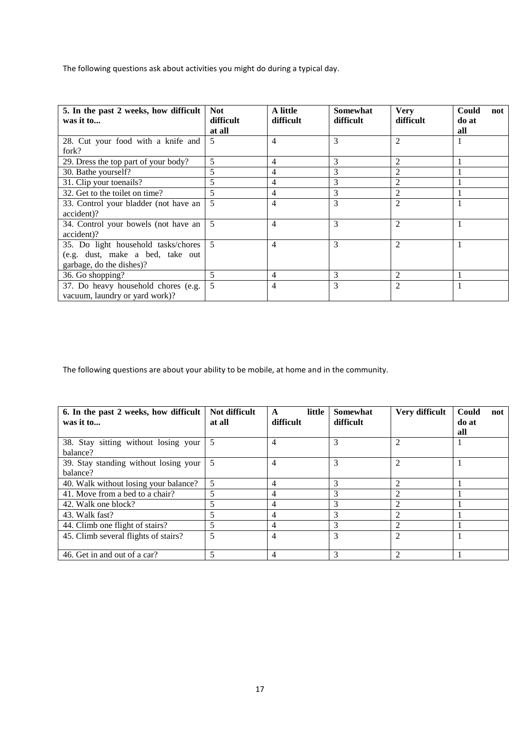The following questions ask about activities you might do during a typical day.

| 5. In the past 2 weeks, how difficult | <b>Not</b>               | A little       | Somewhat  | <b>Very</b>    | Could<br>not |
|---------------------------------------|--------------------------|----------------|-----------|----------------|--------------|
| was it to                             | difficult                | difficult      | difficult | difficult      | do at        |
|                                       | at all                   |                |           |                | all          |
| 28. Cut your food with a knife and    | -5                       | 4              | 3         | $\overline{c}$ |              |
| fork?                                 |                          |                |           |                |              |
| 29. Dress the top part of your body?  | 5                        | 4              | 3         | $\overline{c}$ |              |
| 30. Bathe yourself?                   |                          | 4              | 3         | $\overline{c}$ |              |
| 31. Clip your toenails?               | 5                        | 4              | 3         | $\overline{c}$ |              |
| 32. Get to the toilet on time?        | 5                        | 4              | 3         | $\overline{2}$ |              |
| 33. Control your bladder (not have an | 5                        | $\overline{4}$ | 3         | $\overline{2}$ |              |
| accident)?                            |                          |                |           |                |              |
| 34. Control your bowels (not have an  | -5                       | $\overline{4}$ | 3         | $\overline{2}$ |              |
| accident)?                            |                          |                |           |                |              |
| 35. Do light household tasks/chores   | -5                       | $\overline{4}$ | 3         | $\overline{2}$ |              |
| (e.g. dust, make a bed, take out      |                          |                |           |                |              |
| garbage, do the dishes)?              |                          |                |           |                |              |
| 36. Go shopping?                      | $\overline{\phantom{0}}$ | 4              | 3         | $\overline{c}$ |              |
| 37. Do heavy household chores (e.g.   | 5                        | $\overline{4}$ | 3         | $\overline{c}$ |              |
| vacuum, laundry or yard work)?        |                          |                |           |                |              |

The following questions are about your ability to be mobile, at home and in the community.

| 6. In the past 2 weeks, how difficult<br>was it to | Not difficult<br>at all | little<br>A<br>difficult | Somewhat<br>difficult | Very difficult              | Could<br>not<br>do at<br>all |
|----------------------------------------------------|-------------------------|--------------------------|-----------------------|-----------------------------|------------------------------|
| 38. Stay sitting without losing your               | 5                       | $\overline{4}$           | 3                     | $\overline{2}$              |                              |
| balance?                                           |                         |                          |                       |                             |                              |
| 39. Stay standing without losing your              | 5                       | $\overline{4}$           | 3                     | $\overline{c}$              |                              |
| balance?                                           |                         |                          |                       |                             |                              |
| 40. Walk without losing your balance?              | 5                       | 4                        | 3                     | $\overline{c}$              |                              |
| 41. Move from a bed to a chair?                    | 5                       | 4                        | 3                     | $\overline{2}$              |                              |
| 42. Walk one block?                                |                         | 4                        | 3                     | $\overline{c}$              |                              |
| 43. Walk fast?                                     | $\overline{\mathbf{5}}$ | 4                        | 3                     | $\overline{c}$              |                              |
| 44. Climb one flight of stairs?                    | 5                       | 4                        | 3                     | $\overline{c}$              |                              |
| 45. Climb several flights of stairs?               | 5                       | $\overline{4}$           | 3                     | $\overline{c}$              |                              |
| 46. Get in and out of a car?                       | 5                       | 4                        | 3                     | $\mathcal{D}_{\mathcal{A}}$ |                              |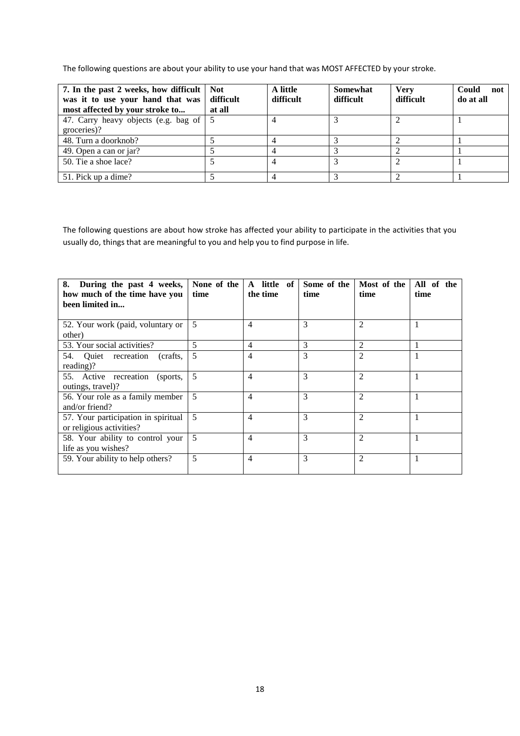The following questions are about your ability to use your hand that was MOST AFFECTED by your stroke.

| 7. In the past 2 weeks, how difficult  <br>was it to use your hand that was<br>most affected by your stroke to | <b>Not</b><br>difficult<br>at all | A little<br>difficult | Somewhat<br>difficult | <b>Very</b><br>difficult | Could not<br>do at all |
|----------------------------------------------------------------------------------------------------------------|-----------------------------------|-----------------------|-----------------------|--------------------------|------------------------|
| 47. Carry heavy objects (e.g. bag of $\vert 5 \rangle$<br>groceries)?                                          |                                   |                       |                       |                          |                        |
| 48. Turn a doorknob?                                                                                           |                                   |                       |                       |                          |                        |
| 49. Open a can or jar?                                                                                         |                                   |                       |                       |                          |                        |
| 50. Tie a shoe lace?                                                                                           |                                   |                       |                       |                          |                        |
| 51. Pick up a dime?                                                                                            |                                   |                       |                       |                          |                        |

The following questions are about how stroke has affected your ability to participate in the activities that you usually do, things that are meaningful to you and help you to find purpose in life.

| 8. During the past 4 weeks,<br>how much of the time have you<br>been limited in | None of the<br>time | A little of<br>the time | Some of the<br>time | Most of the<br>time | All of the<br>time |
|---------------------------------------------------------------------------------|---------------------|-------------------------|---------------------|---------------------|--------------------|
| 52. Your work (paid, voluntary or<br>other)                                     | 5                   | 4                       | 3                   | 2                   |                    |
| 53. Your social activities?                                                     | 5                   | 4                       | 3                   | $\overline{2}$      |                    |
| (crafts,<br>54. Ouiet recreation<br>reading)?                                   | 5                   | 4                       | 3                   | 2                   |                    |
| 55. Active recreation<br>(sports,<br>outings, travel)?                          | 5                   | 4                       | 3                   | $\overline{2}$      |                    |
| 56. Your role as a family member<br>and/or friend?                              | 5                   | 4                       | 3                   | $\mathfrak{D}$      |                    |
| 57. Your participation in spiritual<br>or religious activities?                 | 5                   | 4                       | 3                   | $\mathfrak{D}$      |                    |
| 58. Your ability to control your<br>life as you wishes?                         | 5                   | 4                       | 3                   | $\mathfrak{D}$      |                    |
| 59. Your ability to help others?                                                | 5                   | 4                       | 3                   | $\mathfrak{D}$      |                    |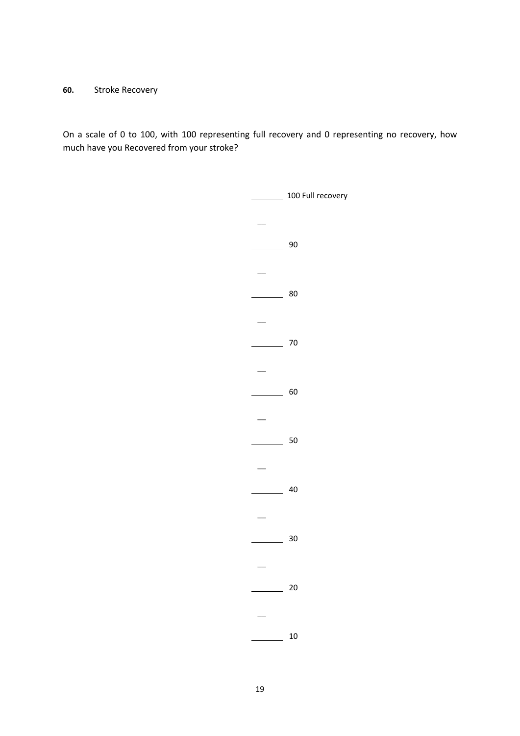### **60.** Stroke Recovery

On a scale of 0 to 100, with 100 representing full recovery and 0 representing no recovery, how much have you Recovered from your stroke?

| $\sim 10^{-1}$                                       | 100 Full recovery |
|------------------------------------------------------|-------------------|
|                                                      | 90                |
| $\overline{\phantom{0}}$<br>$\mathbb{R}^n$           | 80                |
| $\overline{\phantom{a}}$                             | 70                |
|                                                      | 60                |
| $\overline{\phantom{0}}$<br>$\overline{\phantom{a}}$ | 50                |
| $\overline{\phantom{0}}$<br>$\overline{\phantom{a}}$ | 40                |
| $\mathcal{L}^{\text{max}}$                           | 30                |
|                                                      |                   |
|                                                      | 20                |
|                                                      | 10                |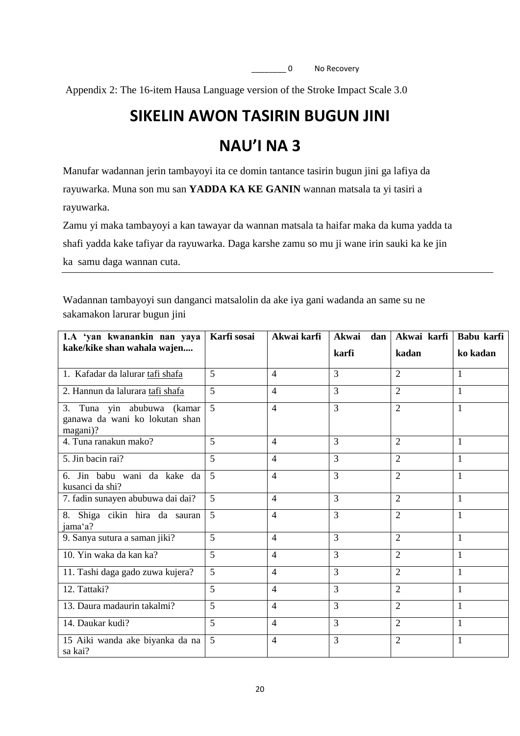0 No Recovery

Appendix 2: The 16-item Hausa Language version of the Stroke Impact Scale 3.0

## **SIKELIN AWON TASIRIN BUGUN JINI**

## **NAU'I NA 3**

Manufar wadannan jerin tambayoyi ita ce domin tantance tasirin bugun jini ga lafiya da rayuwarka. Muna son mu san **YADDA KA KE GANIN** wannan matsala ta yi tasiri a rayuwarka.

Zamu yi maka tambayoyi a kan tawayar da wannan matsala ta haifar maka da kuma yadda ta shafi yadda kake tafiyar da rayuwarka. Daga karshe zamu so mu ji wane irin sauki ka ke jin ka samu daga wannan cuta.

Wadannan tambayoyi sun danganci matsalolin da ake iya gani wadanda an same su ne sakamakon larurar bugun jini

| 1.A 'yan kwanankin nan yaya                                              | Karfi sosai    | Akwai karfi    | Akwai<br>dan | Akwai karfi    | Babu karfi   |
|--------------------------------------------------------------------------|----------------|----------------|--------------|----------------|--------------|
| kake/kike shan wahala wajen                                              |                |                | karfi        | kadan          | ko kadan     |
| 1. Kafadar da lalurar tafi shafa                                         | 5              | $\overline{4}$ | 3            | $\overline{2}$ | 1            |
| 2. Hannun da lalurara tafi shafa                                         | 5              | $\overline{4}$ | 3            | $\overline{2}$ | 1            |
| 3. Tuna yin abubuwa (kamar<br>ganawa da wani ko lokutan shan<br>magani)? | $\overline{5}$ | $\overline{4}$ | 3            | $\overline{2}$ | $\mathbf{1}$ |
| 4. Tuna ranakun mako?                                                    | 5              | $\overline{4}$ | 3            | $\overline{2}$ | $\mathbf{1}$ |
| 5. Jin bacin rai?                                                        | 5              | $\overline{4}$ | 3            | $\overline{2}$ | 1            |
| 6. Jin babu wani da kake da<br>kusanci da shi?                           | $\overline{5}$ | $\overline{4}$ | 3            | $\overline{2}$ | $\mathbf{1}$ |
| 7. fadin sunayen abubuwa dai dai?                                        | 5              | $\overline{4}$ | 3            | $\overline{2}$ | 1            |
| 8. Shiga cikin hira da sauran<br>jama'a?                                 | 5              | $\overline{4}$ | 3            | $\overline{2}$ | 1            |
| 9. Sanya sutura a saman jiki?                                            | $\overline{5}$ | $\overline{4}$ | 3            | $\overline{2}$ | 1            |
| 10. Yin waka da kan ka?                                                  | 5              | $\overline{4}$ | 3            | $\overline{2}$ | $\mathbf{1}$ |
| 11. Tashi daga gado zuwa kujera?                                         | 5              | $\overline{4}$ | 3            | $\overline{2}$ | 1            |
| 12. Tattaki?                                                             | 5              | $\overline{4}$ | 3            | $\overline{2}$ | $\mathbf{1}$ |
| 13. Daura madaurin takalmi?                                              | 5              | $\overline{4}$ | 3            | $\overline{2}$ | $\mathbf{1}$ |
| 14. Daukar kudi?                                                         | $\overline{5}$ | $\overline{4}$ | 3            | $\overline{2}$ | $\mathbf{1}$ |
| 15 Aiki wanda ake biyanka da na<br>sa kai?                               | $\overline{5}$ | $\overline{4}$ | 3            | $\overline{2}$ | $\mathbf{1}$ |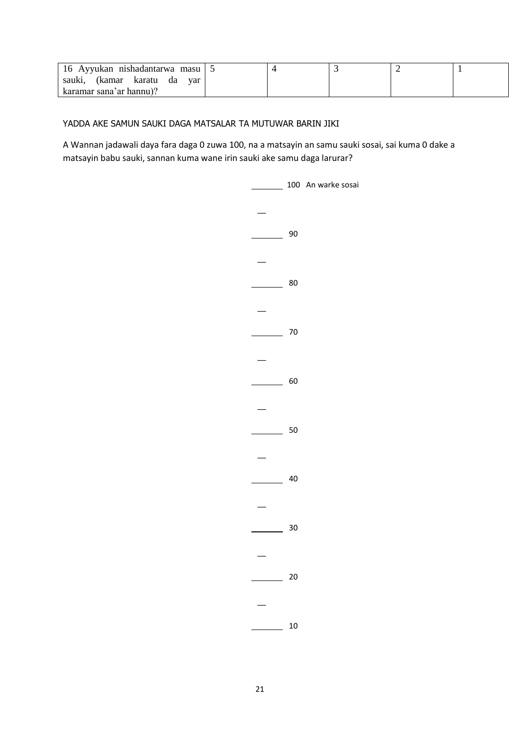| 16 Ayyukan nishadantarwa masu 5         |  |  |  |
|-----------------------------------------|--|--|--|
| (kamar<br>sauki,<br>karatu<br>var<br>da |  |  |  |
| karamar sana'ar hannu)?                 |  |  |  |

#### YADDA AKE SAMUN SAUKI DAGA MATSALAR TA MUTUWAR BARIN JIKI

A Wannan jadawali daya fara daga 0 zuwa 100, na a matsayin an samu sauki sosai, sai kuma 0 dake a matsayin babu sauki, sannan kuma wane irin sauki ake samu daga larurar?

| $\overline{\phantom{0}}$                      |  |
|-----------------------------------------------|--|
| $\frac{90}{2}$                                |  |
| $\qquad \qquad -$                             |  |
| $\frac{1}{2}$ 80                              |  |
| $\overline{\phantom{0}}$                      |  |
| $\frac{1}{20}$                                |  |
| $\overline{\phantom{0}}$                      |  |
|                                               |  |
| $\qquad \qquad$                               |  |
| $\frac{1}{\sqrt{10}}$ 50                      |  |
| $\overline{\phantom{a}}$<br>$\frac{40}{2}$    |  |
| $\overline{\phantom{0}}$                      |  |
| $\frac{1}{\sqrt{1-\frac{1}{2}}}\frac{30}{20}$ |  |
|                                               |  |
| 20                                            |  |
|                                               |  |
| 10                                            |  |